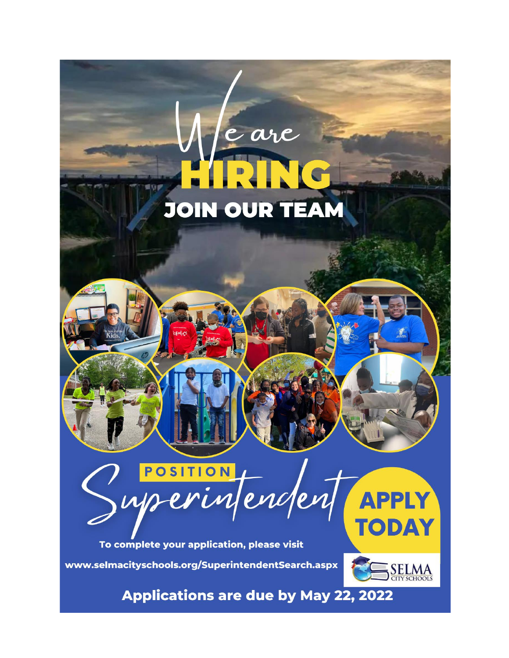# **JOIN OUR TEAM**

e are



To complete your application, please visit www.selmacityschools.org/SuperintendentSearch.aspx



**TODAY** 

**Applications are due by May 22, 2022**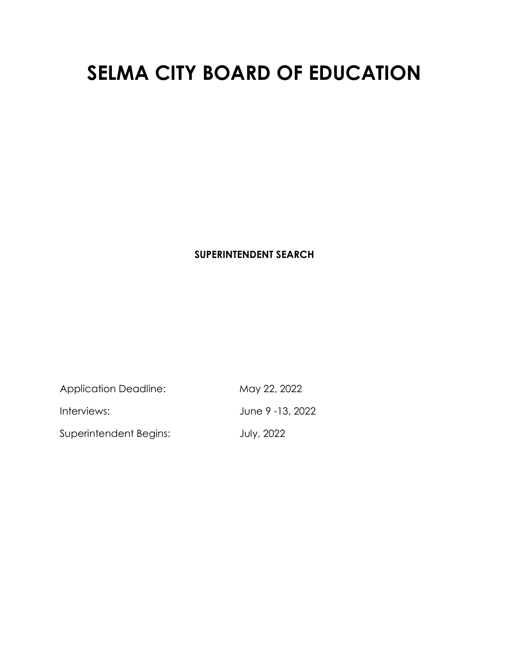# **SELMA CITY BOARD OF EDUCATION**

# **SUPERINTENDENT SEARCH**

Application Deadline: May 22, 2022

Superintendent Begins: July, 2022

Interviews: June 9 -13, 2022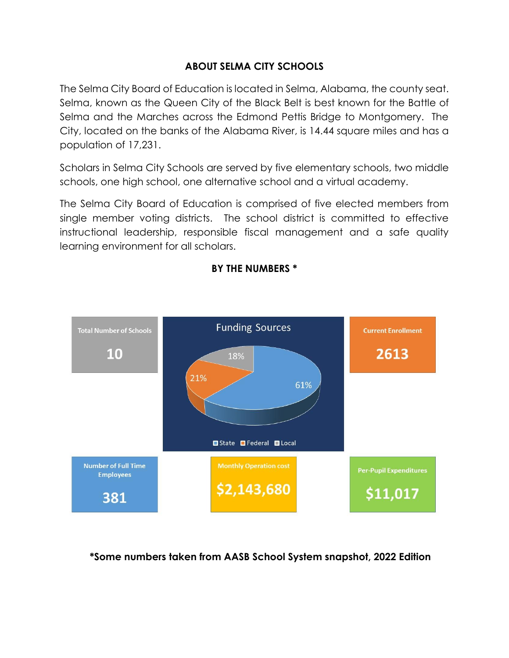# **ABOUT SELMA CITY SCHOOLS**

The Selma City Board of Education is located in Selma, Alabama, the county seat. Selma, known as the Queen City of the Black Belt is best known for the Battle of Selma and the Marches across the Edmond Pettis Bridge to Montgomery. The City, located on the banks of the Alabama River, is 14.44 square miles and has a population of 17,231.

Scholars in Selma City Schools are served by five elementary schools, two middle schools, one high school, one alternative school and a virtual academy.

The Selma City Board of Education is comprised of five elected members from single member voting districts. The school district is committed to effective instructional leadership, responsible fiscal management and a safe quality learning environment for all scholars.



#### **BY THE NUMBERS \***

**\*Some numbers taken from AASB School System snapshot, 2022 Edition**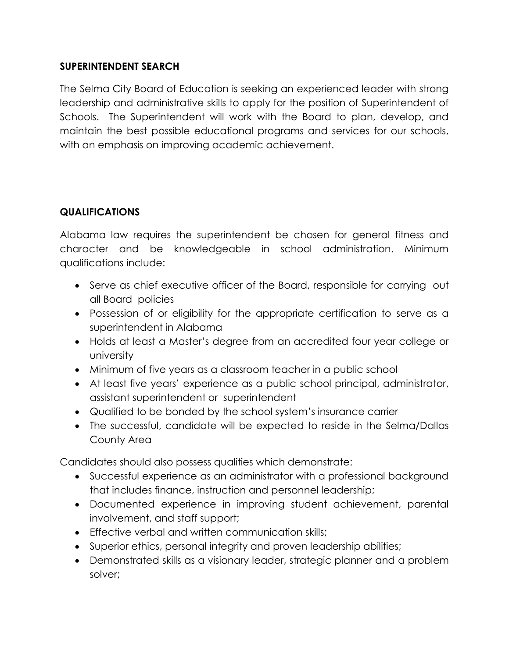## **SUPERINTENDENT SEARCH**

The Selma City Board of Education is seeking an experienced leader with strong leadership and administrative skills to apply for the position of Superintendent of Schools. The Superintendent will work with the Board to plan, develop, and maintain the best possible educational programs and services for our schools, with an emphasis on improving academic achievement.

# **QUALIFICATIONS**

Alabama law requires the superintendent be chosen for general fitness and character and be knowledgeable in school administration. Minimum qualifications include:

- Serve as chief executive officer of the Board, responsible for carrying out all Board policies
- Possession of or eligibility for the appropriate certification to serve as a superintendent in Alabama
- Holds at least a Master's degree from an accredited four year college or university
- Minimum of five years as a classroom teacher in a public school
- At least five years' experience as a public school principal, administrator, assistant superintendent or superintendent
- Qualified to be bonded by the school system's insurance carrier
- The successful, candidate will be expected to reside in the Selma/Dallas County Area

Candidates should also possess qualities which demonstrate:

- Successful experience as an administrator with a professional background that includes finance, instruction and personnel leadership;
- Documented experience in improving student achievement, parental involvement, and staff support;
- **Effective verbal and written communication skills;**
- Superior ethics, personal integrity and proven leadership abilities;
- Demonstrated skills as a visionary leader, strategic planner and a problem solver;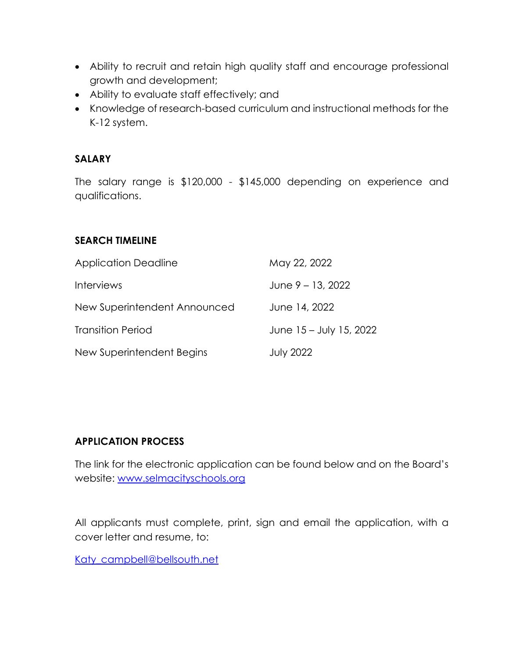- Ability to recruit and retain high quality staff and encourage professional growth and development;
- Ability to evaluate staff effectively; and
- Knowledge of research-based curriculum and instructional methods for the K-12 system.

# **SALARY**

The salary range is \$120,000 - \$145,000 depending on experience and qualifications.

#### **SEARCH TIMELINE**

| <b>Application Deadline</b>  | May 22, 2022            |
|------------------------------|-------------------------|
| <b>Interviews</b>            | June $9 - 13$ , 2022    |
| New Superintendent Announced | June 14, 2022           |
| <b>Transition Period</b>     | June 15 – July 15, 2022 |
| New Superintendent Begins    | <b>July 2022</b>        |

#### **APPLICATION PROCESS**

The link for the electronic application can be found below and on the Board's website: [www.selmacityschools.org](http://www.selmacityschools.org/)

All applicants must complete, print, sign and email the application, with a cover letter and resume, to:

[Katy\\_campbell@bellsouth.net](mailto:Katy_campbell@bellsouth.net)